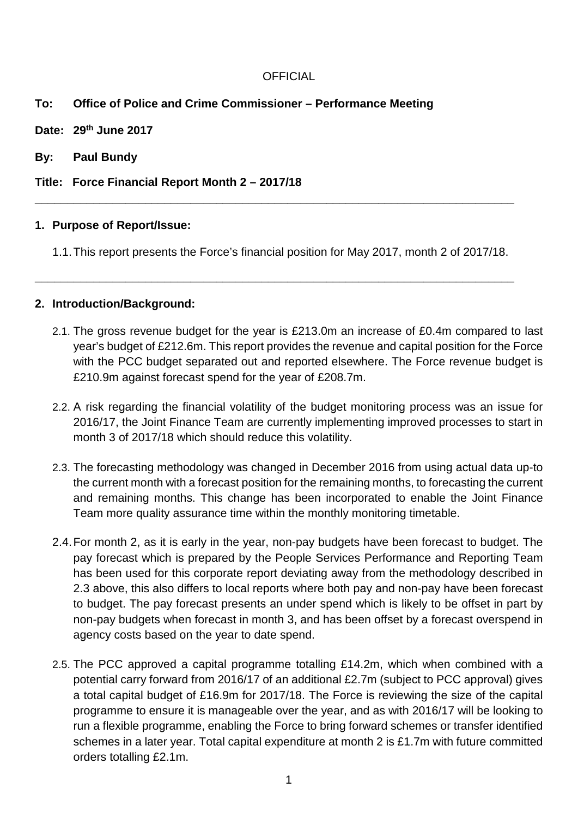## **To: Office of Police and Crime Commissioner – Performance Meeting**

- **Date: 29th June 2017**
- **By: Paul Bundy**

#### **Title: Force Financial Report Month 2 – 2017/18**

#### **1. Purpose of Report/Issue:**

1.1.This report presents the Force's financial position for May 2017, month 2 of 2017/18.

**\_\_\_\_\_\_\_\_\_\_\_\_\_\_\_\_\_\_\_\_\_\_\_\_\_\_\_\_\_\_\_\_\_\_\_\_\_\_\_\_\_\_\_\_\_\_\_\_\_\_\_\_\_\_\_\_\_\_\_\_\_\_\_\_\_\_\_\_\_\_\_\_\_\_**

**\_\_\_\_\_\_\_\_\_\_\_\_\_\_\_\_\_\_\_\_\_\_\_\_\_\_\_\_\_\_\_\_\_\_\_\_\_\_\_\_\_\_\_\_\_\_\_\_\_\_\_\_\_\_\_\_\_\_\_\_\_\_\_\_\_\_\_\_\_\_\_\_\_\_**

#### **2. Introduction/Background:**

- 2.1. The gross revenue budget for the year is £213.0m an increase of £0.4m compared to last year's budget of £212.6m. This report provides the revenue and capital position for the Force with the PCC budget separated out and reported elsewhere. The Force revenue budget is £210.9m against forecast spend for the year of £208.7m.
- 2.2. A risk regarding the financial volatility of the budget monitoring process was an issue for 2016/17, the Joint Finance Team are currently implementing improved processes to start in month 3 of 2017/18 which should reduce this volatility.
- 2.3. The forecasting methodology was changed in December 2016 from using actual data up-to the current month with a forecast position for the remaining months, to forecasting the current and remaining months. This change has been incorporated to enable the Joint Finance Team more quality assurance time within the monthly monitoring timetable.
- 2.4.For month 2, as it is early in the year, non-pay budgets have been forecast to budget. The pay forecast which is prepared by the People Services Performance and Reporting Team has been used for this corporate report deviating away from the methodology described in 2.3 above, this also differs to local reports where both pay and non-pay have been forecast to budget. The pay forecast presents an under spend which is likely to be offset in part by non-pay budgets when forecast in month 3, and has been offset by a forecast overspend in agency costs based on the year to date spend.
- 2.5. The PCC approved a capital programme totalling £14.2m, which when combined with a potential carry forward from 2016/17 of an additional £2.7m (subject to PCC approval) gives a total capital budget of £16.9m for 2017/18. The Force is reviewing the size of the capital programme to ensure it is manageable over the year, and as with 2016/17 will be looking to run a flexible programme, enabling the Force to bring forward schemes or transfer identified schemes in a later year. Total capital expenditure at month 2 is £1.7m with future committed orders totalling £2.1m.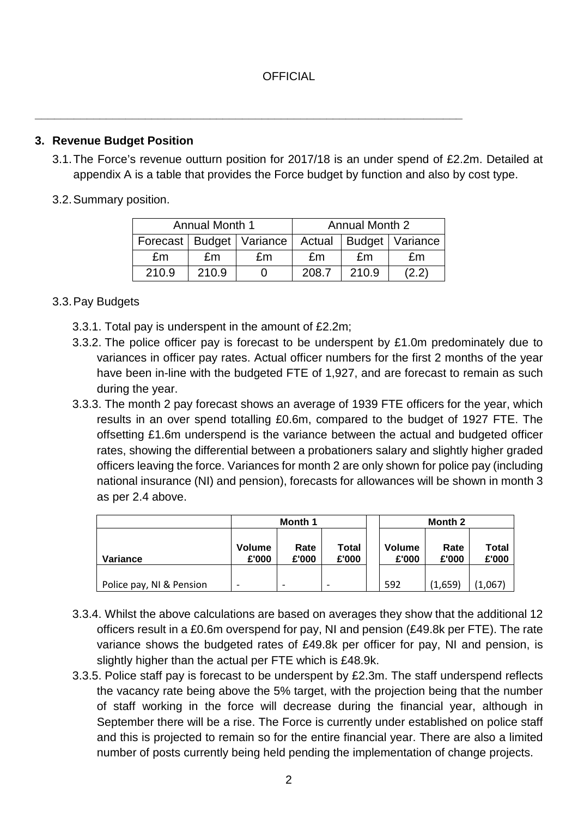**\_\_\_\_\_\_\_\_\_\_\_\_\_\_\_\_\_\_\_\_\_\_\_\_\_\_\_\_\_\_\_\_\_\_\_\_\_\_\_\_\_\_\_\_\_\_\_\_\_\_\_\_\_\_\_\_\_\_\_\_\_\_\_\_\_\_**

## **3. Revenue Budget Position**

- 3.1.The Force's revenue outturn position for 2017/18 is an under spend of £2.2m. Detailed at appendix A is a table that provides the Force budget by function and also by cost type.
- 3.2.Summary position.

|       | <b>Annual Month 1</b> |                              | Annual Month 2 |       |                   |  |
|-------|-----------------------|------------------------------|----------------|-------|-------------------|--|
|       |                       | Forecast   Budget   Variance | Actual         |       | Budget   Variance |  |
| fm    | £m                    | £m                           | £m             | fm    | fm                |  |
| 210.9 | 210.9                 |                              | 208.7          | 210.9 | (2.2)             |  |

## 3.3.Pay Budgets

- 3.3.1. Total pay is underspent in the amount of £2.2m;
- 3.3.2. The police officer pay is forecast to be underspent by £1.0m predominately due to variances in officer pay rates. Actual officer numbers for the first 2 months of the year have been in-line with the budgeted FTE of 1,927, and are forecast to remain as such during the year.
- 3.3.3. The month 2 pay forecast shows an average of 1939 FTE officers for the year, which results in an over spend totalling £0.6m, compared to the budget of 1927 FTE. The offsetting £1.6m underspend is the variance between the actual and budgeted officer rates, showing the differential between a probationers salary and slightly higher graded officers leaving the force. Variances for month 2 are only shown for police pay (including national insurance (NI) and pension), forecasts for allowances will be shown in month 3 as per 2.4 above.

|                          |                        | Month 1       |  |  |                        | Month 2       |                       |  |  |
|--------------------------|------------------------|---------------|--|--|------------------------|---------------|-----------------------|--|--|
| <b>Variance</b>          | <b>Volume</b><br>£'000 | Rate<br>£'000 |  |  | <b>Volume</b><br>£'000 | Rate<br>£'000 | <b>Total</b><br>£'000 |  |  |
| Police pay, NI & Pension |                        | -             |  |  | 592                    | (1,659)       | (1,067)               |  |  |

- 3.3.4. Whilst the above calculations are based on averages they show that the additional 12 officers result in a £0.6m overspend for pay, NI and pension (£49.8k per FTE). The rate variance shows the budgeted rates of £49.8k per officer for pay, NI and pension, is slightly higher than the actual per FTE which is £48.9k.
- 3.3.5. Police staff pay is forecast to be underspent by £2.3m. The staff underspend reflects the vacancy rate being above the 5% target, with the projection being that the number of staff working in the force will decrease during the financial year, although in September there will be a rise. The Force is currently under established on police staff and this is projected to remain so for the entire financial year. There are also a limited number of posts currently being held pending the implementation of change projects.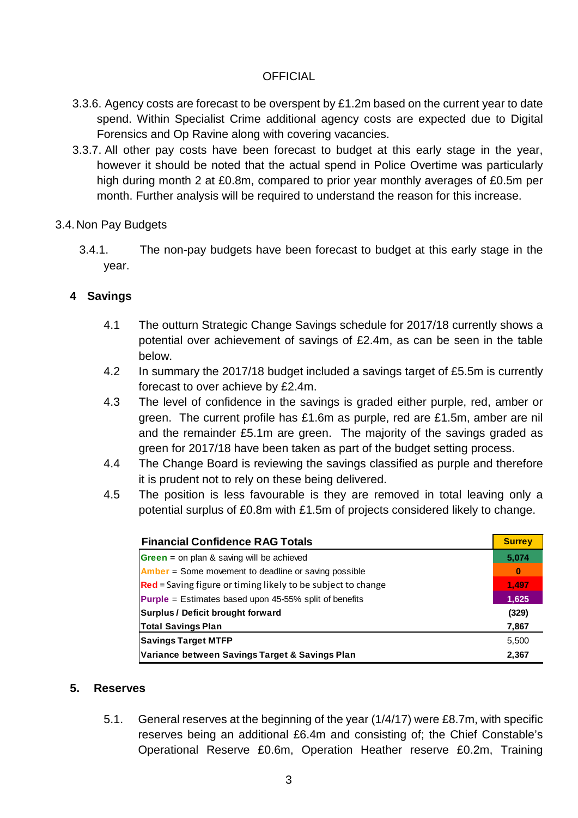- 3.3.6. Agency costs are forecast to be overspent by £1.2m based on the current year to date spend. Within Specialist Crime additional agency costs are expected due to Digital Forensics and Op Ravine along with covering vacancies.
- 3.3.7. All other pay costs have been forecast to budget at this early stage in the year, however it should be noted that the actual spend in Police Overtime was particularly high during month 2 at £0.8m, compared to prior year monthly averages of £0.5m per month. Further analysis will be required to understand the reason for this increase.

#### 3.4.Non Pay Budgets

3.4.1. The non-pay budgets have been forecast to budget at this early stage in the year.

## **4 Savings**

- 4.1 The outturn Strategic Change Savings schedule for 2017/18 currently shows a potential over achievement of savings of £2.4m, as can be seen in the table below.
- 4.2 In summary the 2017/18 budget included a savings target of £5.5m is currently forecast to over achieve by £2.4m.
- 4.3 The level of confidence in the savings is graded either purple, red, amber or green. The current profile has £1.6m as purple, red are £1.5m, amber are nil and the remainder £5.1m are green. The majority of the savings graded as green for 2017/18 have been taken as part of the budget setting process.
- 4.4 The Change Board is reviewing the savings classified as purple and therefore it is prudent not to rely on these being delivered.
- 4.5 The position is less favourable is they are removed in total leaving only a potential surplus of £0.8m with £1.5m of projects considered likely to change.

| <b>Financial Confidence RAG Totals</b>                              | <b>Surrey</b> |  |  |  |  |
|---------------------------------------------------------------------|---------------|--|--|--|--|
| <b>Green</b> = on plan & saving will be achieved                    |               |  |  |  |  |
| <b>Amber</b> = Some movement to deadline or saving possible         |               |  |  |  |  |
| <b>Red</b> = Saving figure or timing likely to be subject to change | 1,497         |  |  |  |  |
| <b>Purple</b> = Estimates based upon $45-55%$ split of benefits     |               |  |  |  |  |
| <b>Surplus / Deficit brought forward</b>                            |               |  |  |  |  |
| <b>Total Savings Plan</b>                                           | 7,867         |  |  |  |  |
| <b>Savings Target MTFP</b>                                          | 5,500         |  |  |  |  |
| Variance between Savings Target & Savings Plan                      |               |  |  |  |  |

#### **5. Reserves**

5.1. General reserves at the beginning of the year (1/4/17) were £8.7m, with specific reserves being an additional £6.4m and consisting of; the Chief Constable's Operational Reserve £0.6m, Operation Heather reserve £0.2m, Training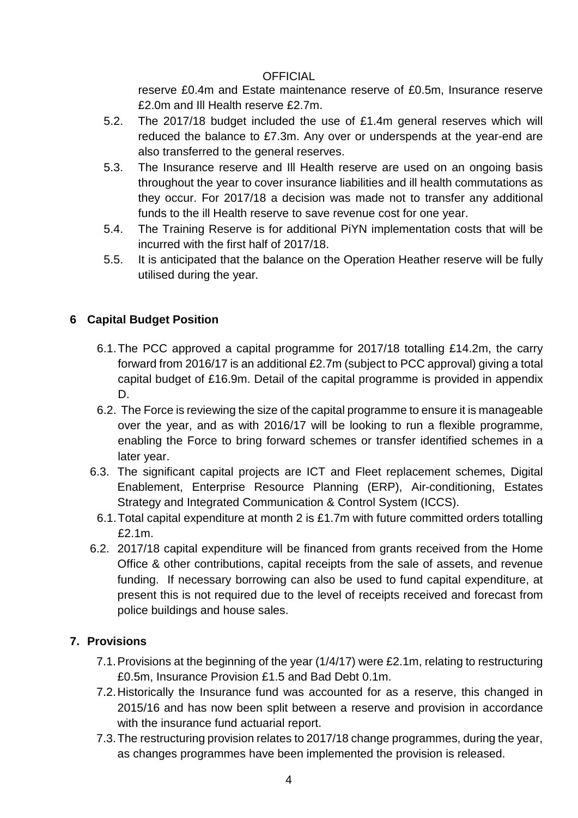reserve £0.4m and Estate maintenance reserve of £0.5m, Insurance reserve £2.0m and Ill Health reserve £2.7m.

- 5.2. The 2017/18 budget included the use of £1.4m general reserves which will reduced the balance to £7.3m. Any over or underspends at the year-end are also transferred to the general reserves.
- 5.3. The Insurance reserve and Ill Health reserve are used on an ongoing basis throughout the year to cover insurance liabilities and ill health commutations as they occur. For 2017/18 a decision was made not to transfer any additional funds to the ill Health reserve to save revenue cost for one year.
- 5.4. The Training Reserve is for additional PiYN implementation costs that will be incurred with the first half of 2017/18.
- 5.5. It is anticipated that the balance on the Operation Heather reserve will be fully utilised during the year.

# **6 Capital Budget Position**

- 6.1.The PCC approved a capital programme for 2017/18 totalling £14.2m, the carry forward from 2016/17 is an additional £2.7m (subject to PCC approval) giving a total capital budget of £16.9m. Detail of the capital programme is provided in appendix D.
- 6.2. The Force is reviewing the size of the capital programme to ensure it is manageable over the year, and as with 2016/17 will be looking to run a flexible programme, enabling the Force to bring forward schemes or transfer identified schemes in a later year.
- 6.3. The significant capital projects are ICT and Fleet replacement schemes, Digital Enablement, Enterprise Resource Planning (ERP), Air-conditioning, Estates Strategy and Integrated Communication & Control System (ICCS).
	- 6.1.Total capital expenditure at month 2 is £1.7m with future committed orders totalling £2.1m.
- 6.2. 2017/18 capital expenditure will be financed from grants received from the Home Office & other contributions, capital receipts from the sale of assets, and revenue funding. If necessary borrowing can also be used to fund capital expenditure, at present this is not required due to the level of receipts received and forecast from police buildings and house sales.

# **7. Provisions**

- 7.1.Provisions at the beginning of the year (1/4/17) were £2.1m, relating to restructuring £0.5m, Insurance Provision £1.5 and Bad Debt 0.1m.
- 7.2.Historically the Insurance fund was accounted for as a reserve, this changed in 2015/16 and has now been split between a reserve and provision in accordance with the insurance fund actuarial report.
- 7.3.The restructuring provision relates to 2017/18 change programmes, during the year, as changes programmes have been implemented the provision is released.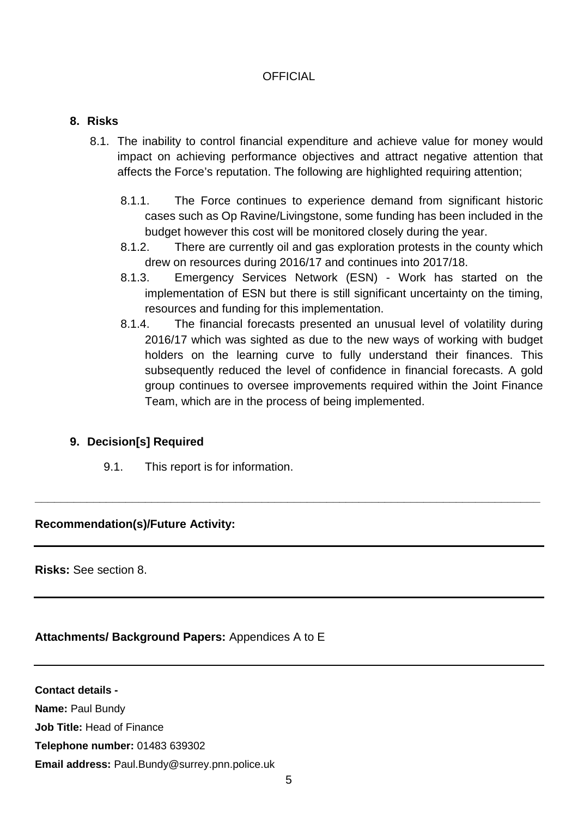#### **8. Risks**

- 8.1. The inability to control financial expenditure and achieve value for money would impact on achieving performance objectives and attract negative attention that affects the Force's reputation. The following are highlighted requiring attention;
	- 8.1.1. The Force continues to experience demand from significant historic cases such as Op Ravine/Livingstone, some funding has been included in the budget however this cost will be monitored closely during the year.
	- 8.1.2. There are currently oil and gas exploration protests in the county which drew on resources during 2016/17 and continues into 2017/18.
	- 8.1.3. Emergency Services Network (ESN) Work has started on the implementation of ESN but there is still significant uncertainty on the timing, resources and funding for this implementation.
	- 8.1.4. The financial forecasts presented an unusual level of volatility during 2016/17 which was sighted as due to the new ways of working with budget holders on the learning curve to fully understand their finances. This subsequently reduced the level of confidence in financial forecasts. A gold group continues to oversee improvements required within the Joint Finance Team, which are in the process of being implemented.

## **9. Decision[s] Required**

9.1. This report is for information.

## **Recommendation(s)/Future Activity:**

**Risks:** See section 8.

## Attachments/ Background Papers: Appendices A to E

**Contact details - Name:** Paul Bundy **Job Title:** Head of Finance **Telephone number:** 01483 639302 **Email address:** Paul.Bundy@surrey.pnn.police.uk

**\_\_\_\_\_\_\_\_\_\_\_\_\_\_\_\_\_\_\_\_\_\_\_\_\_\_\_\_\_\_\_\_\_\_\_\_\_\_\_\_\_\_\_\_\_\_\_\_\_\_\_\_\_\_\_\_\_\_\_\_\_\_\_\_\_\_\_\_\_\_\_\_\_\_\_\_\_\_**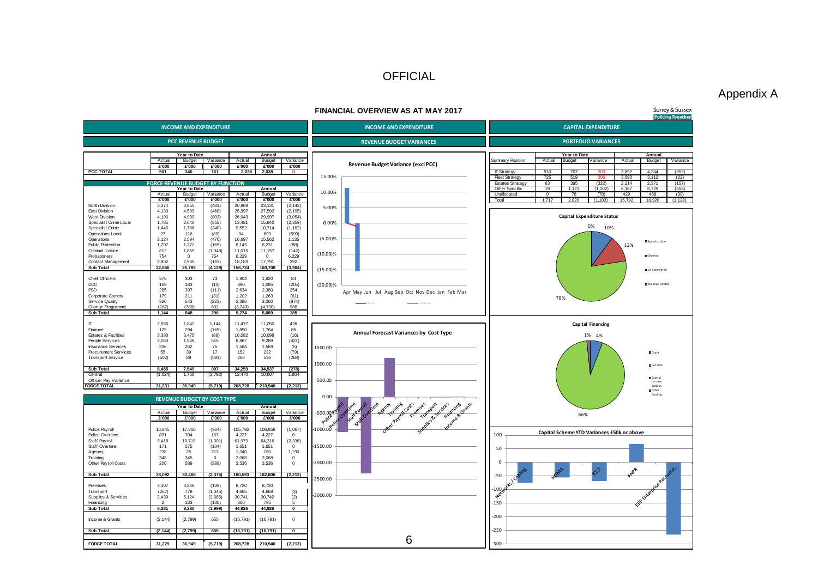#### Appendix A

#### **FINANCIAL OVERVIEW AS AT MAY 2017 Surrey & Sussex Policing Together INCOME AND EXPENDITURE INCOME AND EXPENDITURE CAPITAL EXPENDITURE PCC REVENUE BUDGET PORTFOLIO VARIANCES REVENUE BUDGET VARIANCES Year to Date Annual**<br>Actual Budget Variance Actual Budget **Year to Date Annual**<br>**Rudget Actual** Budget Actual Budget Variance Actual Budget Variance<br><del>R</del>oo **Roome Actual Actual Actual Actual Actual Revenue Budget Variance (excl PCC) and Summary Position Actual Budget Variance Actual Budget Variance Actual Budget Variance £'000 £'000 £'000 £'000 £'000 £'000 PCC TOTAL 501 340 161 2,038 2,038 0** IT Strategy 910 707 203 3,892 4,244 (352) 15.00% Fleet Strategy 725 519 206 3,090 3,112 (22)<br>
Fistates Strategy 63 395 (332) 2.214 2.371 (157) Estates Strategy 63 395 (332) 2,214 2,371 (157)<br>
Other Specific 19 1,121 (1,102) 6,167 6,725 (558) **NUE BUDGET BY FI** Other Specific 19 1,121 (1,102) 6,167 6,725 (558)<br>
Unallocated 0 78 (78) 429 468 (39) **Year to Date Annual**<br>Actual Budget Variance Actual Budget 10.00% Actual Budget Variance Actual Budget Variance Processes and District Controller Controller (1990) 429 (78) 429 (78) 429 (39) **£'000 £'000 £'000 £'000 £'000 £'000** Total 1,717 2,820 (1,103) 15,792 16,920 (1,128) North Division 3,374 3,855 (481) 20,989 23,131 (2,142)<br>East Division 4,130 4,599 (468) 25,397 27,592 (2,195) 5.00% East Division 4,130 4,599 (468) 25,397 27,592 (2,195)<br>West Division 4,196 4,999 (803) 26,943 29,997 (3,054) **Capital Expenditure Status** West Division 4,196 4,999 (803) 26,943 29,997 (3,054) Specialist Crime Local 1,785 2,640 (855) 13,481 15,840 (2,359)<br>Specialist Crime 1,445 1,786 (340) 9,552 10,714 (1,162) 0.00% 0% 10% Specialist Crime 1,445 1,786 (340) 9,552 10,714 (1,162) **Operations Local 27** 116 (89) 94 693 (599)<br> **Operations Local 2.124 2.594 (470) 16.697 15.562 1.135** (5.00)% Operations 2,124 2,594 (470) 16,697 15,562 1,135 Spend to date Public Protection 1,207 1,372 (165) 8,143 8,231 (88)<br>Criminal Justice 812 1,859 (1.048) 11,015 11,157 (142) 12% Criminal Justice<br>
Criminal Justice 812 1,859 (1,048) 11,015 11,157 (142)<br>
Probationers 754 0 754 6.229 0 6.229 (10.00)% Ordered Probationers 754 0 754 6,229 0 6,229 Contact Management 2,802 2,965 (163) 18,183 17,791 392<br>
Sub Total 22,656 26,785 (4,129) 156,724 160,708 (3,984) (15.00)% **Sub Total 22,656 26,785 (4,129) 156,724 160,708 (3,984)**  Un committed Chief Officers 376 303 73 1,904 1,820 84<br>DCC 169 183 (13) 890 1,095 (205) (20.00)% Revenue funded DCC 169 183 (13) 890 1,095 (205) PSD 285 397 (111) 2,634 2,380 254 Apr May Jun Jul Aug Sep Oct Nov Dec Jan Feb Mar Corporate Comms 179 211 (31) 1,202 1,263 (61)<br>
Service Quality 320 543 (223) 2.386 3.260 (874) 78% Service Quality 320 543 (223) 2,386 3,260 (874) Change Programme (187) (788) 602 (3,743) (4,730) 988<br>Sub Total (187) (788) 602 (3,743) (4,730) 988<br>Sub Total (1,144 848 296 5,274 5,089 185 Y TO VA RESIDENT AND RESIDENT AND RESIDENT AND RESIDENT AND RESIDENT AND RESIDENT AND RESIDENT AND RESIDENT AN **Sub Total 1,144 848 296 5,274 5,089 185 Capital Financing** IT 2,986 1,842 1,144 11,477 11,050 426 Finance 129 294 (165) 1,850 1,764 86 **Annual Forecast Variances by Cost Type** Estates & Facilities 3,388 3,475 (88) 10,082 10,098 (16)<br>
People Services 2,063 1,548 515 8,867 9,289 (421) 4% 1% People Services 2,063 1,548 515 8,867 9,289 (421)<br>
Insurance Services 336 262 75 1,564 1,569 (5) nsurance Services 336 262 75 1,564 1,569 (5)<br>Procurement Services 55 39 17 152 232 (79) 1500.00 Procurement Services 55 39 17 152 232 (79)<br>Transport Service (502) 89 (591) 268 536 (268) Grant Transport Service 1000.00 Receipts **Sub Total 8,455 7,549 907 34,259 34,537 (278)**  Central (1,024) 1,768 (2,792) 12,470 10,607 1,864 Officer Pay Variance 500.00 Capital Income Surplus Other funding **FORCE TOTAL 31,231 36,949 (5,719) 208,728 210,940 (2,213)**  unallocated codes 0.00 **REVENUE BUDGET BY COST TYPE** Asency contribution of the motor control of the Grants **Year to Date Annual** chiv pay Actual Budget Variance Actual Budget Variance<br>  $\frac{12000}{12000}$   $\frac{12000}{12000}$   $\frac{12000}{12000}$   $\frac{12000}{12000}$   $\frac{12000}{12000}$ -500.00<sup>0</sup> 66% **£'000 £'000 £'000 £'000 £'000 £'000** చ  $-1000.00$ Police Payroll 16,845 17,810 (964) 105,792 106,858 (1,067) <sup>100</sup> **Capital Scheme YTD Variances £50k or above** Police Overtime 871 704 167 4,227 4,227 0 Staff Payroll 9,418 10,719 (1,301) 61,979 64,316 (2,336)<br>Staff Overtime 171 275 (104) 1,651 1,651 0 -1500.00 Staff Overtime 171 275 (104) 1,651 1,651 0<br>Agency 238 25 213 1,340 150 1,190 50 Agency 238 238 25 213 1,340 150 1,190 Training 2,068 1 200 589 (389) 3,536 3,536 0<br>
Other Payroll Costs 200 589 (389) 3,536 3,536 0 Training 348 348 345 3 2,068 2,068 0 -2000.00  $\Omega$ -50 **Sub Total 28,092 30,468 (2,376) 180,593 182,806 (2,213)**  -2500.00 Premises 3,107 3,246 (139) 8,720 8,720  $-100$ Transport (267) 778 (1,045) 4,665 4,668 (3)<br>Supplies & Services 2,439 5,124 (2,685) 30,741 30,742 (2)<br>Financing 2 133 (130) 800 795 5 Transport (267) 778 (1,045) 4,665 4,668 (3) -3000.00 -150 Financing 2 133 (130) 800 795 5 **Sub Total 5,281 9,280 (3,999) 44,926 44,926 0**  -200 Income & Grants (2,144) (2,799) 655 (16,791) (16,791) 0 -250 **Sub Total (2,144) (2,799) 655 (16,791) (16,791) 0**  FORCETOTAL 31,229 36,949 (5,719) 206,728 210,940 (2,213) **FORCE TOTAL 31,229 36,949 (5,719) 208,728 210,940 (2,213)**  -300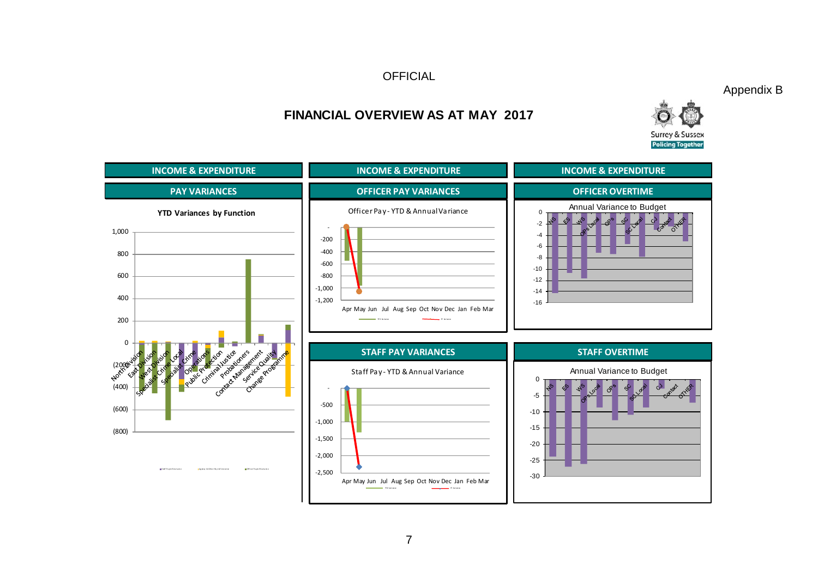Appendix B



# **FINANCIAL OVERVIEW AS AT MAY 2017**

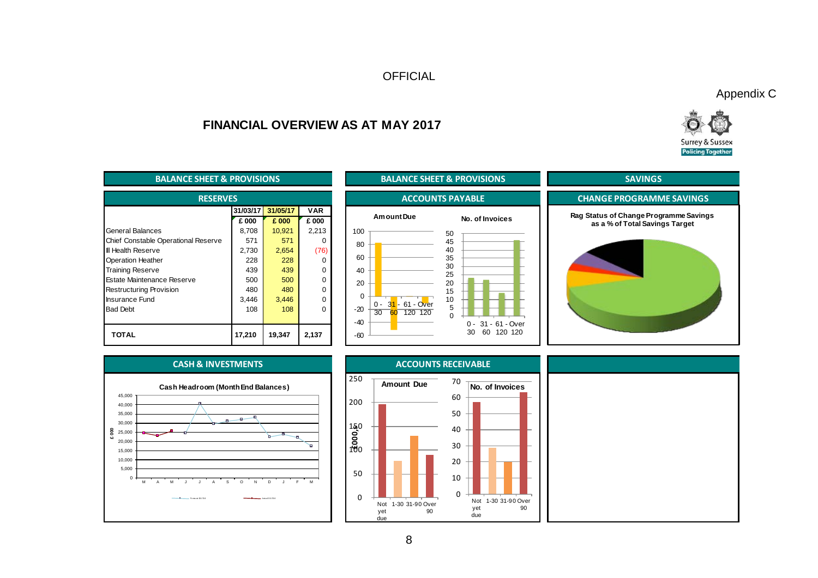Appendix C



# **FINANCIAL OVERVIEW AS AT MAY 2017**

| <b>BALANCE SHEET &amp; PROVISIONS</b> |          |          | <b>BALANCE SHEET &amp; PROVISIONS</b> |                                                         |  |  |
|---------------------------------------|----------|----------|---------------------------------------|---------------------------------------------------------|--|--|
| <b>RESERVES</b>                       |          |          | <b>ACCOUNTS PAYABLE</b>               |                                                         |  |  |
|                                       | 31/03/17 | 31/05/17 | <b>VAR</b>                            |                                                         |  |  |
|                                       | £ 000    | £ 000    | £ 000                                 | Am ount Due<br>No. of Invoices                          |  |  |
| <b>General Balances</b>               | 8,708    | 10,921   | 2,213                                 | 100<br>50                                               |  |  |
| Chief Constable Operational Reserve   | 571      | 571      | 0                                     | 45<br>80                                                |  |  |
| <b>III Health Reserve</b>             | 2,730    | 2,654    | (76)                                  | 40                                                      |  |  |
| <b>Operation Heather</b>              | 228      | 228      | 0                                     | 60<br>35                                                |  |  |
| <b>Training Reserve</b>               | 439      | 439      | $\Omega$                              | 30<br>40<br>25                                          |  |  |
| Estate Maintenance Reserve            | 500      | 500      | $\Omega$                              | 20<br>20                                                |  |  |
| <b>Restructuring Provision</b>        | 480      | 480      | $\Omega$                              | 15                                                      |  |  |
| Insurance Fund                        | 3,446    | 3,446    | $\Omega$                              | $\Omega$<br>10<br>31 - 61 - Over                        |  |  |
| <b>Bad Debt</b>                       | 108      | 108      | $\Omega$                              | $0 -$<br>5<br>$-20$<br>$\overline{30}$<br>120 120<br>60 |  |  |
|                                       |          |          |                                       | $\Omega$<br>$-40$<br>31 - 61 - Over<br>$0 -$            |  |  |
| <b>TOTAL</b>                          | 17,210   | 19,347   | 2,137                                 | 30<br>60<br>120 120<br>$-60$                            |  |  |







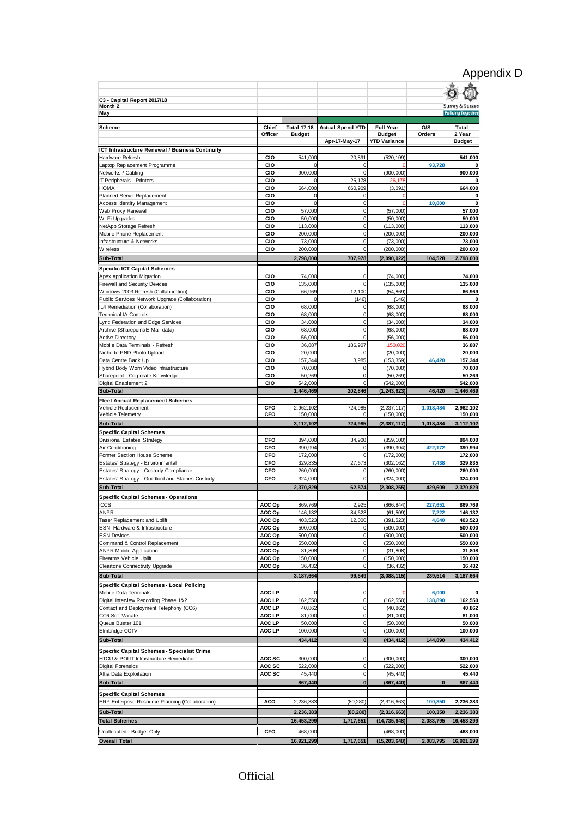# Appendix D

| C3 - Capital Report 2017/18                                                                 |                  |                                     |                            |                                   |                  |                                                        |
|---------------------------------------------------------------------------------------------|------------------|-------------------------------------|----------------------------|-----------------------------------|------------------|--------------------------------------------------------|
| Month 2<br>May                                                                              |                  |                                     |                            |                                   |                  | <b>Surrey &amp; Sussex</b><br><b>Policing Together</b> |
|                                                                                             |                  |                                     |                            |                                   |                  |                                                        |
| <b>Scheme</b>                                                                               | Chief<br>Officer | <b>Total 17-18</b><br><b>Budget</b> | <b>Actual Spend YTD</b>    | <b>Full Year</b><br><b>Budget</b> | O/S<br>Orders    | Total<br>2 Year                                        |
|                                                                                             |                  |                                     | Apr-17-May-17              | <b>YTD Variance</b>               |                  | <b>Budget</b>                                          |
| ICT Infrastructure Renewal / Business Continuity                                            |                  |                                     |                            |                                   |                  |                                                        |
| Hardware Refresh<br>Laptop Replacement Programme                                            | CIO<br>CIO       | 541,000<br>$\Omega$                 | 20,891<br>$\mathbf 0$      | (520, 109)                        | 93,728           | 541,000                                                |
| Networks / Cabling                                                                          | CIO              | 900,000                             | $\bf 0$                    | (900, 000)                        |                  | 900,000                                                |
| IT Peripherals - Printers                                                                   | CIO              | $\Omega$                            | 26,178                     | 26,178                            |                  | 0                                                      |
| HOMA                                                                                        | CIO              | 664,000                             | 660,909                    | (3.091)                           |                  | 664,000                                                |
| Planned Server Replacement<br><b>Access Identity Management</b>                             | CIO<br>CIO       | 0<br>$\mathbf 0$                    | 0<br>$\mathbf 0$           | $\Omega$<br>O                     | 10,800           | 0<br>0                                                 |
| Web Proxy Renewal                                                                           | CIO              | 57,000                              | $\mathbf 0$                | (57,000)                          |                  | 57,000                                                 |
| Wi Fi Upgrades                                                                              | CIO              | 50,000                              | $\bf 0$                    | (50,000)                          |                  | 50,000                                                 |
| NetApp Storage Refresh                                                                      | CIO              | 113,000                             | $\mathbf 0$                | (113,000)                         |                  | 113,000                                                |
| Mobile Phone Replacement<br>Infrastructure & Networks                                       | CIO<br>CIO       | 200,000<br>73,000                   | $\mathbf 0$<br>$\mathbf 0$ | (200,000)<br>(73,000)             |                  | 200,000<br>73,000                                      |
| Wireless                                                                                    | CIO              | 200,000                             | $\Omega$                   | (200, 000)                        |                  | 200,000                                                |
| Sub-Total                                                                                   |                  | 2,798,000                           | 707,978                    | (2,090,022)                       | 104,528          | 2,798,000                                              |
| <b>Specific ICT Capital Schemes</b>                                                         |                  |                                     |                            |                                   |                  |                                                        |
| Apex application Migration                                                                  | <b>CIO</b>       | 74,000                              | $\bf 0$                    | (74,000)                          |                  | 74,000                                                 |
| <b>Firewall and Security Devices</b>                                                        | CIO              | 135,000                             | $\mathbf 0$                | (135,000)                         |                  | 135,000                                                |
| Windows 2003 Refresh (Collaboration)<br>Public Services Network Upgrade (Collaboration)     | CIO<br>CIO       | 66,969<br>$\Omega$                  | 12,100<br>(146)            | (54.869)<br>(146)                 |                  | 66,969<br>0                                            |
| IL4 Remediation (Collaboration)                                                             | CIO              | 68,000                              | $\bf 0$                    | (68,000)                          |                  | 68,000                                                 |
| <b>Technical IA Controls</b>                                                                | CIO              | 68,000                              | $\mathbf 0$                | (68,000)                          |                  | 68,000                                                 |
| Lync Federation and Edge Services                                                           | CIO              | 34,000                              | $\mathbf 0$                | (34,000)                          |                  | 34,000                                                 |
| Archive (Sharepoint/E-Mail data)<br><b>Active Directory</b>                                 | CIO<br>CIO       | 68,000<br>56,000                    | $\mathbf 0$<br>$\mathbf 0$ | (68,000)<br>(56,000)              |                  | 68,000<br>56,000                                       |
| Mobile Data Terminals - Refresh                                                             | CIO              | 36,887                              | 186,907                    | 150,020                           |                  | 36,887                                                 |
| Niche to PND Photo Upload                                                                   | CIO              | 20,000                              | 0                          | (20,000)                          |                  | 20,000                                                 |
| Data Centre Back Up                                                                         | CIO              | 157,344                             | 3,985                      | (153, 359)                        | 46,420           | 157,344                                                |
| Hybrid Body Worn Video Infrastructure                                                       | CIO              | 70,000                              | $\mathbf 0$                | (70,000)                          |                  | 70,000                                                 |
| Sharepoint - Corporate Knowledge<br>Digital Enablement 2                                    | CIO<br>CIO       | 50,269<br>542,000                   | $\mathbf 0$<br>$\Omega$    | (50, 269)<br>(542,000)            |                  | 50,269<br>542,000                                      |
| Sub-Total                                                                                   |                  | 1,446,469                           | 202,846                    | (1, 243, 623)                     | 46.420           | 1,446,469                                              |
| <b>Fleet Annual Replacement Schemes</b>                                                     |                  |                                     |                            |                                   |                  |                                                        |
| Vehicle Replacement                                                                         | CFO              | 2,962,102                           | 724,985                    | (2, 237, 117)                     | 1,018,484        | 2,962,102                                              |
| Vehicle Telemetry                                                                           | CFO              | 150,000                             | $\Omega$                   | (150,000)                         |                  | 150,000                                                |
| <b>Sub-Total</b>                                                                            |                  | 3,112,102                           | 724,985                    | (2, 387, 117)                     | 1,018,484        | 3,112,102                                              |
| <b>Specific Capital Schemes</b><br>Divisional Estates' Strategy                             | CFO              | 894,000                             | 34,900                     | (859, 100)                        |                  | 894,000                                                |
| Air Conditioning                                                                            | CFO              | 390,994                             | 0                          | (390, 994)                        | 422,172          | 390,994                                                |
| Former Section House Scheme                                                                 | CFO              | 172,000                             | $\mathbf 0$                | (172,000)                         |                  | 172,000                                                |
| Estates' Strategy - Environmental                                                           | CFO              | 329,835                             | 27,673                     | (302, 162)                        | 7,438            | 329,835                                                |
| Estates' Strategy - Custody Compliance<br>Estates' Strategy - Guildford and Staines Custody | CFO<br>CFO       | 260,000<br>324,000                  | $\mathbf 0$                | (260,000)<br>(324,000)            |                  | 260,000<br>324,000                                     |
| Sub-Total                                                                                   |                  | 2.370.829                           | 62,574                     | (2, 308, 255)                     | 429.609          | 2.370.829                                              |
| <b>Specific Capital Schemes - Operations</b>                                                |                  |                                     |                            |                                   |                  |                                                        |
| <b>ICCS</b>                                                                                 | ACC Op           | 869,769                             | 2,925                      | (866, 844)                        | 227,651          | 869,769                                                |
| ANPR                                                                                        | ACC Op           | 146,132                             | 84,623                     | (61, 509)                         | 7,222            | 146,132                                                |
| Taser Replacement and Uplift                                                                | ACC Op           | 403,523                             | 12,000                     | (391, 523)                        | 4,640            | 403,523                                                |
| ESN- Hardware & Infrastructure<br><b>ESN-Devices</b>                                        | ACC Op<br>ACC Op | 500,000<br>500,000                  | $\mathbf 0$<br>$\mathbf 0$ | (500,000)<br>(500,000)            |                  | 500,000<br>500,000                                     |
| Command & Control Replacement                                                               | ACC Op           | 550,000                             | $\mathbf 0$                | (550,000)                         |                  | 550,000                                                |
| <b>ANPR Mobile Application</b>                                                              | ACC Op           | 31,808                              | $\mathbf 0$                | (31, 808)                         |                  | 31.808                                                 |
| Firearms Vehicle Uplift                                                                     | ACC Op           | 150,000                             | $\mathbf 0$                | (150,000)                         |                  | 150,000                                                |
| Cleartone Connectivity Upgrade                                                              | ACC Op           | 36,432                              | $\mathbf 0$                | (36, 432)                         |                  | 36,432                                                 |
| Sub-Total                                                                                   |                  | 3,187,664                           | 99,549                     | (3,088,115)                       | 239,514          | 3,187,664                                              |
| Specific Capital Schemes - Local Policing                                                   |                  |                                     |                            |                                   |                  |                                                        |
| Mobile Data Terminals<br>Digital Interview Recording Phase 1&2                              | ACC LP<br>ACC LP | $\Omega$<br>162,550                 | $\mathbf 0$<br>$\mathbf 0$ | (162, 550)                        | 6,000<br>138,890 | $\mathbf 0$<br>162,550                                 |
| Contact and Deployment Telephony (CC6)                                                      | ACC LP           | 40,862                              | $\mathbf 0$                | (40, 862)                         |                  | 40,862                                                 |
| CC6 Soft Vacate                                                                             | ACC LP           | 81,000                              | $\mathbf 0$                | (81,000)                          |                  | 81,000                                                 |
| Queue Buster 101                                                                            | ACC LP           | 50,000                              | $\mathbf 0$                | (50,000)                          |                  | 50,000                                                 |
| Elmbridge CCTV                                                                              | ACC LP           | 100,000                             | $\mathbf 0$                | (100, 000)                        |                  | 100,000                                                |
| Sub-Total                                                                                   |                  | 434,412                             | $\bf{0}$                   | (434, 412)                        | 144,890          | 434,412                                                |
| Specific Capital Schemes - Specialist Crime                                                 |                  |                                     |                            |                                   |                  |                                                        |
| HTCU & POLIT Infrastructure Remediation<br><b>Digital Forensics</b>                         | ACC SC<br>ACC SC | 300,000<br>522,000                  | $\mathbf 0$<br>$\mathbf 0$ | (300,000)<br>(522,000)            |                  | 300,000<br>522,000                                     |
| Altia Data Exploitation                                                                     | ACC SC           | 45,440                              | $\mathbf 0$                | (45, 440)                         |                  | 45,440                                                 |
| <b>Sub-Total</b>                                                                            |                  | 867,440                             | $\bf{0}$                   | (867, 440)                        | 0                | 867,440                                                |
| <b>Specific Capital Schemes</b>                                                             |                  |                                     |                            |                                   |                  |                                                        |
| ERP Enterprise Resource Planning (Collaboration)                                            | ACO              | 2,236,383                           | (80, 280)                  | (2,316,663)                       | 100,350          | 2,236,383                                              |
| Sub-Total                                                                                   |                  | 2,236,383                           | (80, 280)                  | (2,316,663)                       | 100,350          | 2,236,383                                              |
| <b>Total Schemes</b>                                                                        |                  | 16,453,299                          | 1,717,651                  | (14, 735, 648)                    | 2,083,795        | 16,453,299                                             |
| Unallocated - Budget Only                                                                   | CFO              | 468,000                             |                            | (468,000)                         |                  | 468,000                                                |
| <b>Overall Total</b>                                                                        |                  | 16,921,299                          | 1,717,651                  | (15, 203, 648)                    | 2,083,795        | 16,921,299                                             |